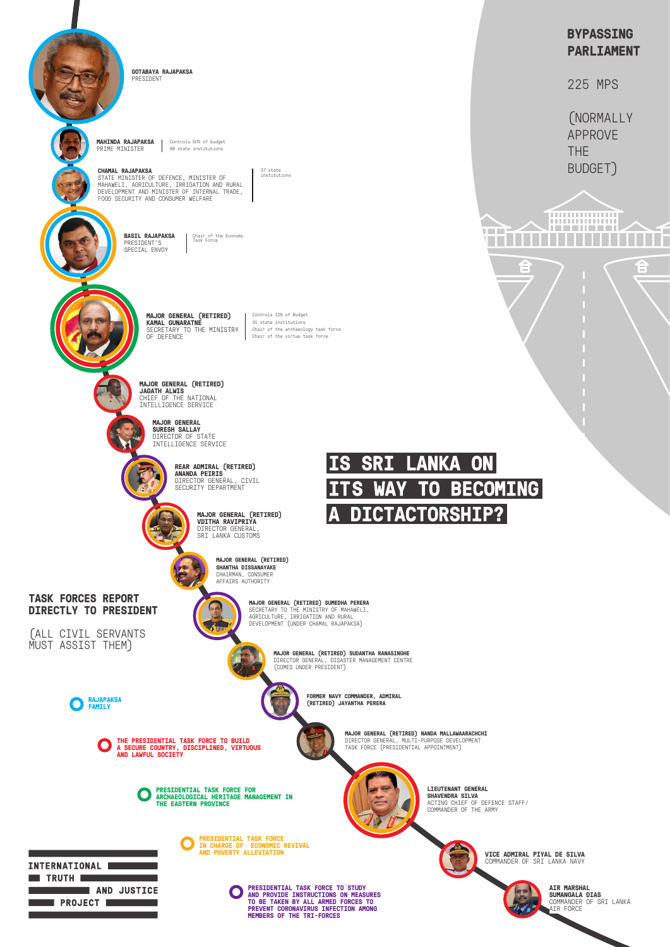**TASK FORCES REPORT DIRECTLY TO PRESIDENT** 

(ALL CIVIL SERVANTS MUST ASSIST THEM)

**BYPASSING PARLIAMENT**

225 MPS

(NORMALLY APPROVE THE BUDGET)

**...............** .............. <u> 1 - - 1 1 - 1 - 1</u>



**PRESIDENTIAL TASK FORCE FOR ARCHAEOLOGICAL HERITAGE MANAGEMENT IN THE EASTERN PROVINCE**

**RAJAPAKSA FAMILY**

> **PRESIDENTIAL TASK FORCE TO STUDY AND PROVIDE INSTRUCTIONS ON MEASURES TO BE TAKEN BY ALL ARMED FORCES TO PREVENT CORONAVIRUS INFECTION AMONG MEMBERS OF THE TRI-FORCES**

**THE PRESIDENTIAL TASK FORCE TO BUILD A SECURE COUNTRY, DISCIPLINED, VIRTUOUS AND LAWFUL SOCIETY**

> **PRESIDENTIAL TASK FORCE IN CHARGE OF ECONOMIC REVIVAL AND POVERTY ALLEVIATION**

INTERNATIONAL **Execute Construction Construction Construction Construction** AND JUSTICE **Exercise PROJECT DESCRIPTION** 

**GOTABAYA RAJAPAKSA** PRESIDENT

**MAJOR GENERAL (RETIRED) JAGATH ALWIS** CHIEF OF THE NATIONAL INTELLIGENCE SERVICE

> **MAJOR GENERAL SURESH SALLAY** DIRECTOR OF STATE INTELLIGENCE SERVICE



**REAR ADMIRAL (RETIRED) ANANDA PEIRIS** DIRECTOR GENERAL, CIVIL SECURITY DEPARTMENT

STATE MINISTER OF DEFENCE, MINISTER OF MAHAWELI, AGRICULTURE, IRRIGATION AND RURAL DEVELOPMENT AND MINISTER OF INTERNAL TRADE, FOOD SECURITY AND CONSUMER WELFARE

> **MAJOR GENERAL (RETIRED) SHANTHA DISSANAYAKE** CHAIRMAN, CONSUMER AFFAIRS AUTHORITY



**MAJOR GENERAL (RETIRED) SUDANTHA RANASINGHE** DIRECTOR GENERAL, DISASTER MANAGEMENT CENTRE (COMES UNDER PRESIDENT)



**FORMER NAVY COMMANDER, ADMIRAL (RETIRED) JAYANTHA PERERA**

**MAJOR GENERAL (RETIRED) NANDA MALLAWAARACHCHI**

DIRECTOR GENERAL, MULTI-PURPOSE DEVELOPMENT TASK FORCE (PRESIDENTIAL APPOINTMENT)

> **AIR MARSHAL SUMANGALA DIAS** COMMANDER OF SRI LANKA AIR FORCE

**LIEUTENANT GENERAL SHAVENDRA SILVA** ACTING CHIEF OF DEFENCE STAFF/ COMMANDER OF THE ARMY

**MAJOR GENERAL (RETIRED) VIJITHA RAVIPRIYA** DIRECTOR GENERAL, SRI LANKA CUSTOMS

> **MAJOR GENERAL (RETIRED) SUMEDHA PERERA** SECRETARY TO THE MINISTRY OF MAHAWELI, AGRICULTURE, IRRIGATION AND RURAL DEVELOPMENT (UNDER CHAMAL RAJAPAKSA)

**MAHINDA RAJAPAKSA** PRIME MINISTER

Controls 50% of budget 88 state institutions

#### **CHAMAL RAJAPAKSA**

37 state institutions

**MAJOR GENERAL (RETIRED) KAMAL GUNARATNE**  SECRETARY TO THE MINISTRY OF DEFENCE

Controls 10% of Budget 31 state institutions Chair of the archaeology task force Chair of the virtue task force

**BASIL RAJAPAKSA** PRESIDENT'S SPECIAL ENVOY

Chair of the Economy Task Force

**VICE ADMIRAL PIYAL DE SILVA** COMMANDER OF SRI LANKA NAVY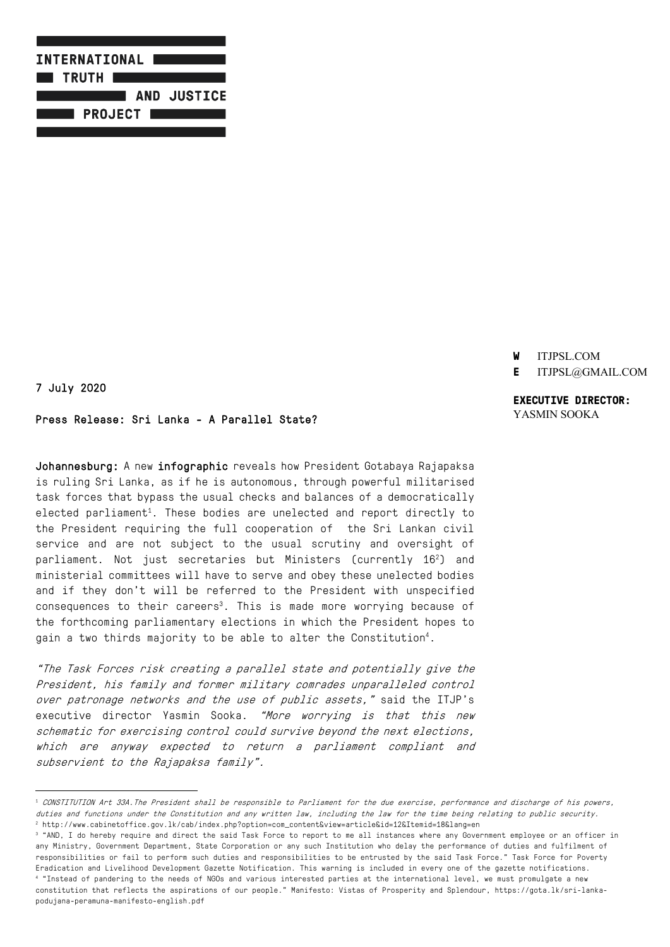

- **W** ITJPSL.COM
- **E** ITJPSL@GMAIL.COM

## 7 July 2020

### Press Release: Sri Lanka - A Parallel State?

Johannesburg: A new infographic reveals how President Gotabaya Rajapaksa is ruling Sri Lanka, as if he is autonomous, through powerful militarised task forces that bypass the usual checks and balances of a democratically elected parliament $^{\rm 1}.$  These bodies are unelected and report directly to the President requiring the full cooperation of the Sri Lankan civil service and are not subject to the usual scrutiny and oversight of parliament. Not just secretaries but Ministers (currently  $16<sup>2</sup>$ ) and ministerial committees will have to serve and obey these unelected bodies and if they don't will be referred to the President with unspecified consequences to their careers<sup>3</sup>. This is made more worrying because of the forthcoming parliamentary elections in which the President hopes to gain a two thirds majority to be able to alter the Constitution4 .

"The Task Forces risk creating a parallel state and potentially give the President, his family and former military comrades unparalleled control over patronage networks and the use of public assets," said the ITJP's executive director Yasmin Sooka. "More worrying is that this new schematic for exercising control could survive beyond the next elections, which are anyway expected to return a parliament compliant and subservient to the Rajapaksa family".

<sup>3</sup> "AND, I do hereby require and direct the said Task Force to report to me all instances where any Government employee or an officer in any Ministry, Government Department, State Corporation or any such Institution who delay the performance of duties and fulfilment of responsibilities or fail to perform such duties and responsibilities to be entrusted by the said Task Force." Task Force for Poverty Eradication and Livelihood Development Gazette Notification. This warning is included in every one of the gazette notifications. <sup>4</sup> "Instead of pandering to the needs of NGOs and various interested parties at the international level, we must promulgate a new constitution that reflects the aspirations of our people." Manifesto: Vistas of Prosperity and Splendour, https://gota.lk/sri-lankapodujana-peramuna-manifesto-english.pdf

## **EXECUTIVE DIRECTOR:** YASMIN SOOKA

<sup>1</sup> CONSTITUTION Art 33A.The President shall be responsible to Parliament for the due exercise, performance and discharge of his powers, duties and functions under the Constitution and any written law, including the law for the time being relating to public security. <sup>2</sup> http://www.cabinetoffice.gov.lk/cab/index.php?option=com\_content&view=article&id=12&Itemid=18&lang=en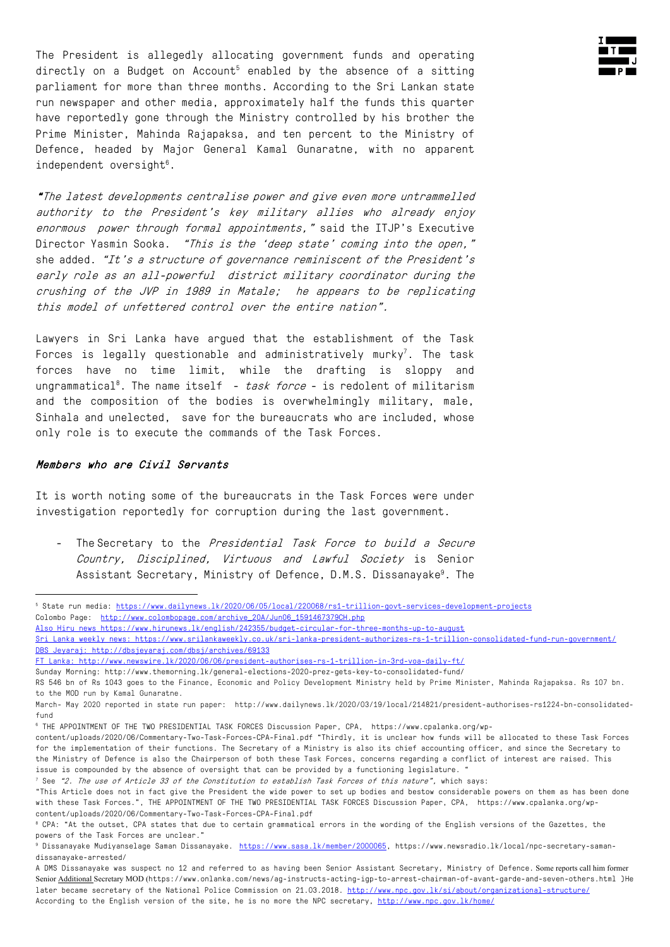The President is allegedly allocating government funds and operating directly on a Budget on Account<sup>5</sup> enabled by the absence of a sitting parliament for more than three months. According to the Sri Lankan state run newspaper and other media, approximately half the funds this quarter have reportedly gone through the Ministry controlled by his brother the Prime Minister, Mahinda Rajapaksa, and ten percent to the Ministry of Defence, headed by Major General Kamal Gunaratne, with no apparent independent oversight $^{\rm 6}$ .

"The latest developments centralise power and give even more untrammelled authority to the President's key military allies who already enjoy enormous power through formal appointments," said the ITJP's Executive Director Yasmin Sooka. "This is the 'deep state' coming into the open," she added. "It's a structure of governance reminiscent of the President's early role as an all-powerful district military coordinator during the crushing of the JVP in 1989 in Matale; he appears to be replicating this model of unfettered control over the entire nation".

Lawyers in Sri Lanka have argued that the establishment of the Task Forces is legally questionable and administratively murky<sup>7</sup>. The task forces have no time limit, while the drafting is sloppy and ungrammatical<sup>8</sup>. The name itself – *task force* – is redolent of militarism and the composition of the bodies is overwhelmingly military, male, Sinhala and unelected, save for the bureaucrats who are included, whose only role is to execute the commands of the Task Forces.

#### Members who are Civil Servants

It is worth noting some of the bureaucrats in the Task Forces were under investigation reportedly for corruption during the last government.

- The Secretary to the Presidential Task Force to build a Secure Country, Disciplined, Virtuous and Lawful Society is Senior Assistant Secretary, Ministry of Defence, D.M.S. Dissanayake<sup>9</sup>. The

<sup>5</sup> State run media: https://www.dailynews.lk/2020/06/05/local/220068/rs1-trillion-govt-services-development-projects Colombo Page: http://www.colombopage.com/archive\_20A/Jun06\_1591467379CH.php

Also Hiru news https://www.hirunews.lk/english/242355/budget-circular-for-three-months-up-to-august

Sri Lanka weekly news: https://www.srilankaweekly.co.uk/sri-lanka-president-authorizes-rs-1-trillion-consolidated-fund-run-government/ DBS Jeyaraj: http://dbsjeyaraj.com/dbsj/archives/69133

FT Lanka: http://www.newswire.lk/2020/06/06/president-authorises-rs-1-trillion-in-3rd-voa-daily-ft/

Sunday Morning: http://www.themorning.lk/general-elections-2020-prez-gets-key-to-consolidated-fund/

RS 546 bn of Rs 1043 goes to the Finance, Economic and Policy Development Ministry held by Prime Minister, Mahinda Rajapaksa. Rs 107 bn. to the MOD run by Kamal Gunaratne.

March- May 2020 reported in state run paper: http://www.dailynews.lk/2020/03/19/local/214821/president-authorises-rs1224-bn-consolidatedfund

<sup>6</sup> THE APPOINTMENT OF THE TWO PRESIDENTIAL TASK FORCES Discussion Paper, CPA, https://www.cpalanka.org/wp-

content/uploads/2020/06/Commentary-Two-Task-Forces-CPA-Final.pdf "Thirdly, it is unclear how funds will be allocated to these Task Forces for the implementation of their functions. The Secretary of a Ministry is also its chief accounting officer, and since the Secretary to the Ministry of Defence is also the Chairperson of both these Task Forces, concerns regarding a conflict of interest are raised. This issue is compounded by the absence of oversight that can be provided by a functioning legislature.

<sup>&</sup>lt;sup>7</sup> See "2. The use of Article 33 of the Constitution to establish Task Forces of this nature", which says:

<sup>&</sup>quot;This Article does not in fact give the President the wide power to set up bodies and bestow considerable powers on them as has been done with these Task Forces.", THE APPOINTMENT OF THE TWO PRESIDENTIAL TASK FORCES Discussion Paper, CPA, https://www.cpalanka.org/wpcontent/uploads/2020/06/Commentary-Two-Task-Forces-CPA-Final.pdf

<sup>8</sup> CPA: "At the outset, CPA states that due to certain grammatical errors in the wording of the English versions of the Gazettes, the powers of the Task Forces are unclear."

<sup>9</sup> Dissanayake Mudiyanselage Saman Dissanayake. https://www.sasa.lk/member/2000065, https://www.newsradio.lk/local/npc-secretary-samandissanayake-arrested/

A DMS Dissanayake was suspect no 12 and referred to as having been Senior Assistant Secretary, Ministry of Defence. Some reports call him former Senior Additional Secretary MOD (https://www.onlanka.com/news/ag-instructs-acting-igp-to-arrest-chairman-of-avant-garde-and-seven-others.html )He later became secretary of the National Police Commission on 21.03.2018. http://www.npc.gov.lk/si/about/organizational-structure/ According to the English version of the site, he is no more the NPC secretary, http://www.npc.gov.lk/home/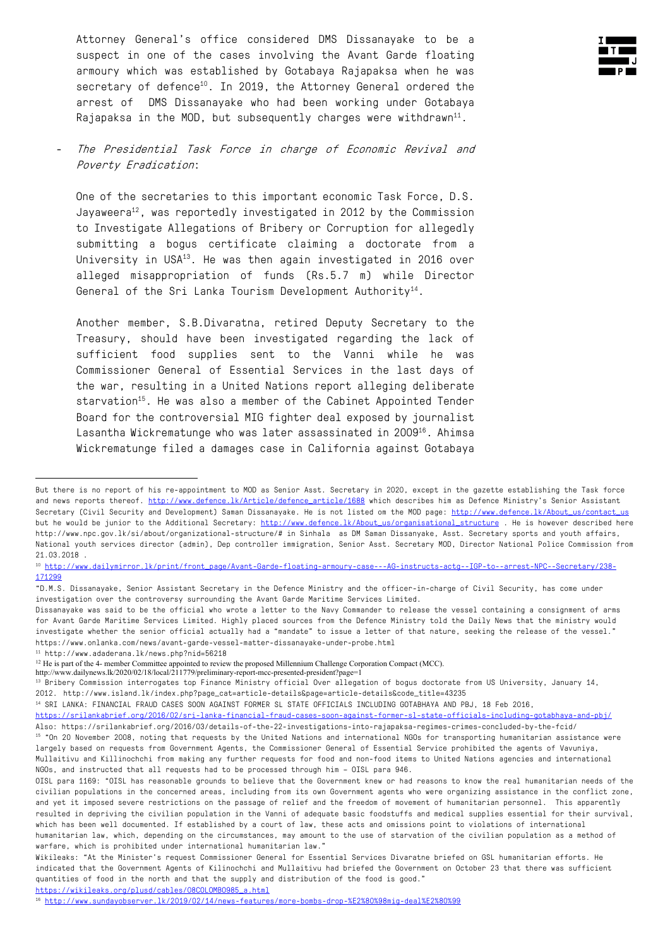Attorney General's office considered DMS Dissanayake to be a suspect in one of the cases involving the Avant Garde floating armoury which was established by Gotabaya Rajapaksa when he was secretary of defence<sup>10</sup>. In 2019, the Attorney General ordered the arrest of DMS Dissanayake who had been working under Gotabaya Rajapaksa in the MOD, but subsequently charges were withdrawn<sup>11</sup>.



## The Presidential Task Force in charge of Economic Revival and Poverty Eradication:

One of the secretaries to this important economic Task Force, D.S. Jayaweera<sup>12</sup>, was reportedly investigated in 2012 by the Commission to Investigate Allegations of Bribery or Corruption for allegedly submitting a bogus certificate claiming a doctorate from a University in USA<sup>13</sup>. He was then again investigated in 2016 over alleged misappropriation of funds (Rs.5.7 m) while Director General of the Sri Lanka Tourism Development Authority<sup>14</sup>.

Another member, S.B.Divaratna, retired Deputy Secretary to the Treasury, should have been investigated regarding the lack of sufficient food supplies sent to the Vanni while he was Commissioner General of Essential Services in the last days of the war, resulting in a United Nations report alleging deliberate starvation<sup>15</sup>. He was also a member of the Cabinet Appointed Tender Board for the controversial MIG fighter deal exposed by journalist Lasantha Wickrematunge who was later assassinated in 2009<sup>16</sup>. Ahimsa Wickrematunge filed a damages case in California against Gotabaya

<sup>11</sup> http://www.adaderana.lk/news.php?nid=56218

http://www.dailynews.lk/2020/02/18/local/211779/preliminary-report-mcc-presented-president?page=1

https://wikileaks.org/plusd/cables/08COLOMBO985\_a.html

But there is no report of his re-appointment to MOD as Senior Asst. Secretary in 2020, except in the gazette establishing the Task force and news reports thereof. http://www.defence.lk/Article/defence\_article/1688 which describes him as Defence Ministry's Senior Assistant Secretary (Civil Security and Development) Saman Dissanayake. He is not listed om the MOD page: http://www.defence.lk/About\_us/contact\_us but he would be junior to the Additional Secretary: http://www.defence.lk/About\_us/organisational\_structure . He is however described here http://www.npc.gov.lk/si/about/organizational-structure/# in Sinhala as DM Saman Dissanyake, Asst. Secretary sports and youth affairs, National youth services director (admin), Dep controller immigration, Senior Asst. Secretary MOD, Director National Police Commission from 21.03.2018 .

<sup>10</sup> http://www.dailymirror.lk/print/front\_page/Avant-Garde-floating-armoury-case---AG-instructs-actg--IGP-to--arrest-NPC--Secretary/238- 171299

<sup>&</sup>quot;D.M.S. Dissanayake, Senior Assistant Secretary in the Defence Ministry and the officer-in-charge of Civil Security, has come under investigation over the controversy surrounding the Avant Garde Maritime Services Limited.

Dissanayake was said to be the official who wrote a letter to the Navy Commander to release the vessel containing a consignment of arms for Avant Garde Maritime Services Limited. Highly placed sources from the Defence Ministry told the Daily News that the ministry would investigate whether the senior official actually had a "mandate" to issue a letter of that nature, seeking the release of the vessel." https://www.onlanka.com/news/avant-garde-vessel-matter-dissanayake-under-probe.html

 $12$  He is part of the 4- member Committee appointed to review the proposed Millennium Challenge Corporation Compact (MCC).

<sup>13</sup> Bribery Commission interrogates top Finance Ministry official Over allegation of bogus doctorate from US University, January 14, 2012. http://www.island.lk/index.php?page\_cat=article-details&page=article-details&code\_title=43235

<sup>14</sup> SRI LANKA: FINANCIAL FRAUD CASES SOON AGAINST FORMER SL STATE OFFICIALS INCLUDING GOTABHAYA AND PBJ, 18 Feb 2016,

https://srilankabrief.org/2016/02/sri-lanka-financial-fraud-cases-soon-against-former-sl-state-officials-including-gotabhaya-and-pbj/ Also: https://srilankabrief.org/2016/03/details-of-the-22-investigations-into-rajapaksa-regimes-crimes-concluded-by-the-fcid/ <sup>15</sup> "On 20 November 2008, noting that requests by the United Nations and international NGOs for transporting humanitarian assistance were largely based on requests from Government Agents, the Commissioner General of Essential Service prohibited the agents of Vavuniya,

Mullaitivu and Killinochchi from making any further requests for food and non-food items to United Nations agencies and international NGOs, and instructed that all requests had to be processed through him – OISL para 946.

OISL para 1169: "OISL has reasonable grounds to believe that the Government knew or had reasons to know the real humanitarian needs of the civilian populations in the concerned areas, including from its own Government agents who were organizing assistance in the conflict zone, and yet it imposed severe restrictions on the passage of relief and the freedom of movement of humanitarian personnel. This apparently resulted in depriving the civilian population in the Vanni of adequate basic foodstuffs and medical supplies essential for their survival, which has been well documented. If established by a court of law, these acts and omissions point to violations of international humanitarian law, which, depending on the circumstances, may amount to the use of starvation of the civilian population as a method of warfare, which is prohibited under international humanitarian law."

Wikileaks: "At the Minister's request Commissioner General for Essential Services Divaratne briefed on GSL humanitarian efforts. He indicated that the Government Agents of Kilinochchi and Mullaitivu had briefed the Government on October 23 that there was sufficient quantities of food in the north and that the supply and distribution of the food is good."

<sup>16</sup> http://www.sundayobserver.lk/2019/02/14/news-features/more-bombs-drop-%E2%80%98mig-deal%E2%80%99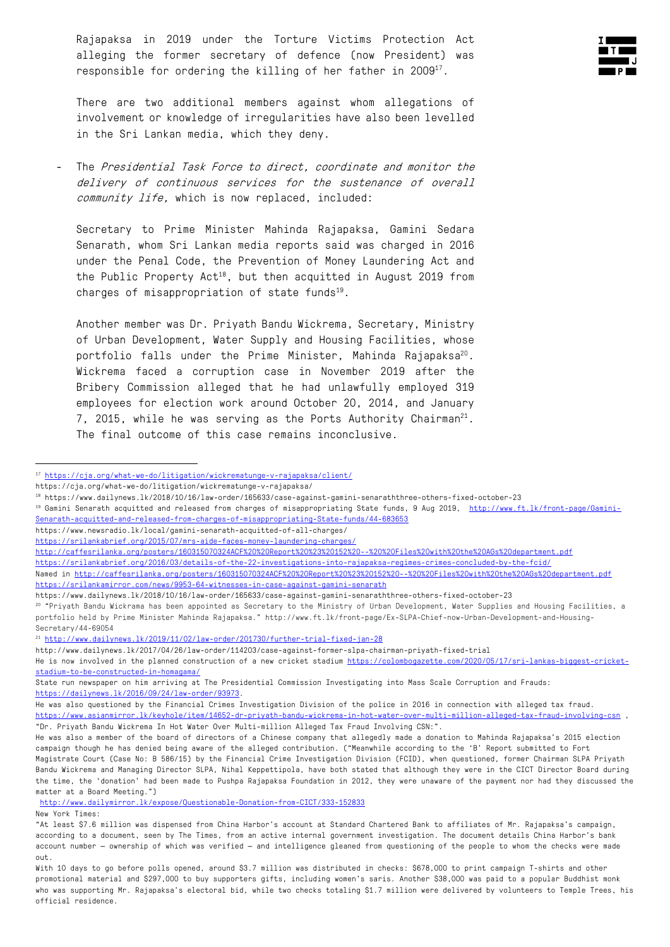Rajapaksa in 2019 under the Torture Victims Protection Act alleging the former secretary of defence (now President) was responsible for ordering the killing of her father in 2009<sup>17</sup>.



There are two additional members against whom allegations of involvement or knowledge of irregularities have also been levelled in the Sri Lankan media, which they deny.

The Presidential Task Force to direct, coordinate and monitor the delivery of continuous services for the sustenance of overall community life, which is now replaced, included:

Secretary to Prime Minister Mahinda Rajapaksa, Gamini Sedara Senarath, whom Sri Lankan media reports said was charged in 2016 under the Penal Code, the Prevention of Money Laundering Act and the Public Property Act<sup>18</sup>, but then acquitted in August 2019 from charges of misappropriation of state funds $19$ .

Another member was Dr. Priyath Bandu Wickrema, Secretary, Ministry of Urban Development, Water Supply and Housing Facilities, whose portfolio falls under the Prime Minister, Mahinda Rajapaksa<sup>20</sup>. Wickrema faced a corruption case in November 2019 after the Bribery Commission alleged that he had unlawfully employed 319 employees for election work around October 20, 2014, and January 7, 2015, while he was serving as the Ports Authority Chairman $^{21}$ . The final outcome of this case remains inconclusive.

https://srilankabrief.org/2016/03/details-of-the-22-investigations-into-rajapaksa-regimes-crimes-concluded-by-the-fcid/

<sup>21</sup> http://www.dailynews.lk/2019/11/02/law-order/201730/further-trial-fixed-jan-28

http://www.dailymirror.lk/expose/Questionable-Donation-from-CICT/333-152833

New York Times:

<sup>17</sup> https://cja.org/what-we-do/litigation/wickrematunge-v-rajapaksa/client/

https://cja.org/what-we-do/litigation/wickrematunge-v-rajapaksa/

<sup>18</sup> https://www.dailynews.lk/2018/10/16/law-order/165633/case-against-gamini-senaraththree-others-fixed-october-23

<sup>&</sup>lt;sup>19</sup> Gamini Senarath acquitted and released from charges of misappropriating State funds, 9 Aug 2019, http://www.ft.lk/front-page/Gamini-Senarath-acquitted-and-released-from-charges-of-misappropriating-State-funds/44-683653

https://www.newsradio.lk/local/gamini-senarath-acquitted-of-all-charges/

https://srilankabrief.org/2015/07/mrs-aide-faces-money-laundering-charges/

http://caffesrilanka.org/posters/160315070324ACF%20%20Report%20%23%20152%20--%20%20Files%20with%20the%20AGs%20department.pdf

Named in http://caffesrilanka.org/posters/160315070324ACF%20%20Report%20%23%20152%20--%20%20Files%20with%20the%20AGs%20department.pdf https://srilankamirror.com/news/9953-64-witnesses-in-case-against-gamini-senarath

https://www.dailynews.lk/2018/10/16/law-order/165633/case-against-gamini-senaraththree-others-fixed-october-23

<sup>&</sup>lt;sup>20</sup> "Priyath Bandu Wickrama has been appointed as Secretary to the Ministry of Urban Development, Water Supplies and Housing Facilities, a portfolio held by Prime Minister Mahinda Rajapaksa." http://www.ft.lk/front-page/Ex-SLPA-Chief-now-Urban-Development-and-Housing-Secretary/44-69054

http://www.dailynews.lk/2017/04/26/law-order/114203/case-against-former-slpa-chairman-priyath-fixed-trial

He is now involved in the planned construction of a new cricket stadium https://colombogazette.com/2020/05/17/sri-lankas-biggest-cricketstadium-to-be-constructed-in-homagama/

State run newspaper on him arriving at The Presidential Commission Investigating into Mass Scale Corruption and Frauds: https://dailynews.lk/2016/09/24/law-order/93973.

He was also questioned by the Financial Crimes Investigation Division of the police in 2016 in connection with alleged tax fraud. https://www.asianmirror.lk/keyhole/item/14652-dr-priyath-bandu-wickrema-in-hot-water-over-multi-million-alleged-tax-fraud-involving-csn , "Dr. Priyath Bandu Wickrema In Hot Water Over Multi-million Alleged Tax Fraud Involving CSN:".

He was also a member of the board of directors of a Chinese company that allegedly made a donation to Mahinda Rajapaksa's 2015 election campaign though he has denied being aware of the alleged contribution. ("Meanwhile according to the 'B' Report submitted to Fort Magistrate Court (Case No: B 586/15) by the Financial Crime Investigation Division (FCID), when questioned, former Chairman SLPA Priyath Bandu Wickrema and Managing Director SLPA, Nihal Keppettipola, have both stated that although they were in the CICT Director Board during the time, the 'donation' had been made to Pushpa Rajapaksa Foundation in 2012, they were unaware of the payment nor had they discussed the matter at a Board Meeting.")

<sup>&</sup>quot;At least \$7.6 million was dispensed from China Harbor's account at Standard Chartered Bank to affiliates of Mr. Rajapaksa's campaign, according to a document, seen by The Times, from an active internal government investigation. The document details China Harbor's bank account number — ownership of which was verified — and intelligence gleaned from questioning of the people to whom the checks were made out.

With 10 days to go before polls opened, around \$3.7 million was distributed in checks: \$678,000 to print campaign T-shirts and other promotional material and \$297,000 to buy supporters gifts, including women's saris. Another \$38,000 was paid to a popular Buddhist monk who was supporting Mr. Rajapaksa's electoral bid, while two checks totaling \$1.7 million were delivered by volunteers to Temple Trees, his official residence.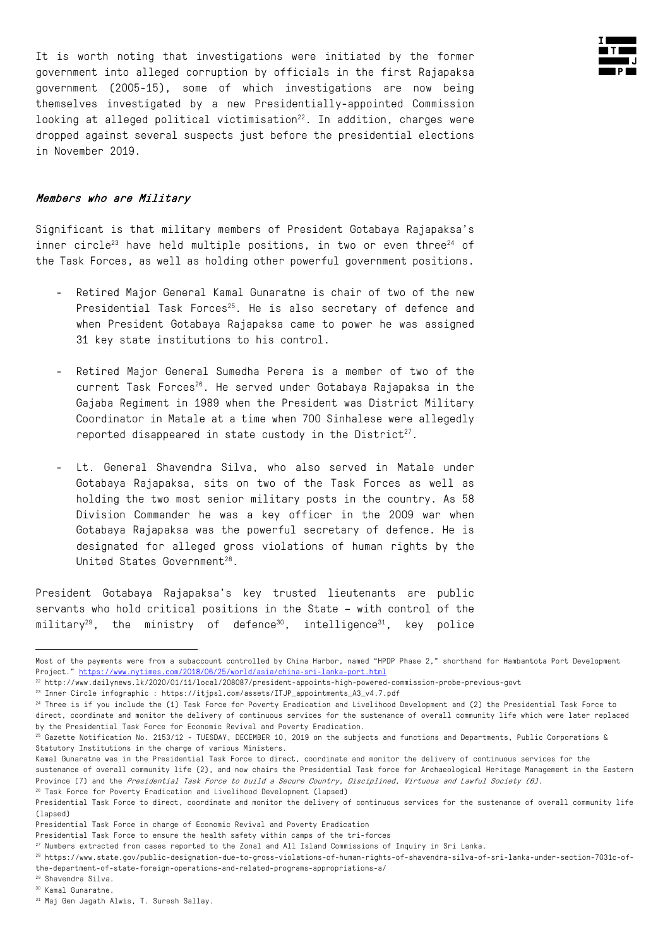It is worth noting that investigations were initiated by the former government into alleged corruption by officials in the first Rajapaksa government (2005-15), some of which investigations are now being themselves investigated by a new Presidentially-appointed Commission looking at alleged political victimisation<sup>22</sup>. In addition, charges were dropped against several suspects just before the presidential elections in November 2019.

#### Members who are Military

Significant is that military members of President Gotabaya Rajapaksa's inner circle<sup>23</sup> have held multiple positions, in two or even three<sup>24</sup> of the Task Forces, as well as holding other powerful government positions.

- Retired Major General Kamal Gunaratne is chair of two of the new Presidential Task Forces<sup>25</sup>. He is also secretary of defence and when President Gotabaya Rajapaksa came to power he was assigned 31 key state institutions to his control.
- Retired Major General Sumedha Perera is a member of two of the current Task Forces<sup>26</sup>. He served under Gotabaya Rajapaksa in the Gajaba Regiment in 1989 when the President was District Military Coordinator in Matale at a time when 700 Sinhalese were allegedly reported disappeared in state custody in the District<sup>27</sup>.
- Lt. General Shavendra Silva, who also served in Matale under Gotabaya Rajapaksa, sits on two of the Task Forces as well as holding the two most senior military posts in the country. As 58 Division Commander he was a key officer in the 2009 war when Gotabaya Rajapaksa was the powerful secretary of defence. He is designated for alleged gross violations of human rights by the United States Government<sup>28</sup>.

President Gotabaya Rajapaksa's key trusted lieutenants are public servants who hold critical positions in the State – with control of the  $millitary<sup>29</sup>$ , the ministry of defence<sup>30</sup>, intelligence<sup>31</sup>, key police



Most of the payments were from a subaccount controlled by China Harbor, named "HPDP Phase 2," shorthand for Hambantota Port Development Project." https://www.nytimes.com/2018/06/25/world/asia/china-sri-lanka-port.html

<sup>22</sup> http://www.dailynews.lk/2020/01/11/local/208087/president-appoints-high-powered-commission-probe-previous-govt

<sup>23</sup> Inner Circle infographic : https://itjpsl.com/assets/ITJP\_appointments\_A3\_v4.7.pdf

<sup>&</sup>lt;sup>24</sup> Three is if you include the (1) Task Force for Poverty Eradication and Livelihood Development and (2) the Presidential Task Force to direct, coordinate and monitor the delivery of continuous services for the sustenance of overall community life which were later replaced by the Presidential Task Force for Economic Revival and Poverty Eradication.

 $^{25}$  Gazette Notification No. 2153/12 - TUESDAY, DECEMBER 10, 2019 on the subjects and functions and Departments, Public Corporations & Statutory Institutions in the charge of various Ministers.

Kamal Gunaratne was in the Presidential Task Force to direct, coordinate and monitor the delivery of continuous services for the

sustenance of overall community life (2), and now chairs the Presidential Task force for Archaeological Heritage Management in the Eastern Province (7) and the Presidential Task Force to build a Secure Country, Disciplined, Virtuous and Lawful Society (6). <sup>26</sup> Task Force for Poverty Eradication and Livelihood Development (lapsed)

Presidential Task Force to direct, coordinate and monitor the delivery of continuous services for the sustenance of overall community life (lapsed)

Presidential Task Force in charge of Economic Revival and Poverty Eradication

Presidential Task Force to ensure the health safety within camps of the tri-forces

<sup>27</sup> Numbers extracted from cases reported to the Zonal and All Island Commissions of Inquiry in Sri Lanka.

<sup>28</sup> https://www.state.gov/public-designation-due-to-gross-violations-of-human-rights-of-shavendra-silva-of-sri-lanka-under-section-7031c-ofthe-department-of-state-foreign-operations-and-related-programs-appropriations-a/

<sup>29</sup> Shavendra Silva.

<sup>30</sup> Kamal Gunaratne.

<sup>31</sup> Maj Gen Jagath Alwis, T. Suresh Sallay.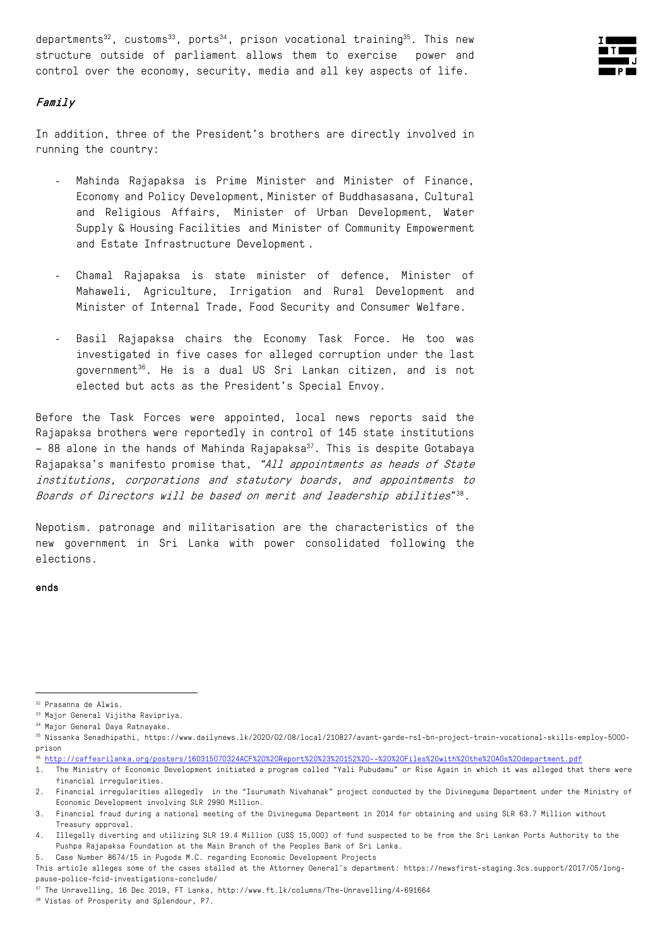departments<sup>32</sup>, customs<sup>33</sup>, ports<sup>34</sup>, prison vocational training<sup>35</sup>. This new structure outside of parliament allows them to exercise power and control over the economy, security, media and all key aspects of life.



## Family

In addition, three of the President's brothers are directly involved in running the country:

- Mahinda Rajapaksa is Prime Minister and Minister of Finance, Economy and Policy Development, Minister of Buddhasasana, Cultural and Religious Affairs, Minister of Urban Development, Water Supply & Housing Facilities and Minister of Community Empowerment and Estate Infrastructure Development .
- Chamal Rajapaksa is state minister of defence, Minister of Mahaweli, Agriculture, Irrigation and Rural Development and Minister of Internal Trade, Food Security and Consumer Welfare.
- Basil Rajapaksa chairs the Economy Task Force. He too was investigated in five cases for alleged corruption under the last government36. He is a dual US Sri Lankan citizen, and is not elected but acts as the President's Special Envoy.

Before the Task Forces were appointed, local news reports said the Rajapaksa brothers were reportedly in control of 145 state institutions  $-$  88 alone in the hands of Mahinda Rajapaksa<sup>37</sup>. This is despite Gotabaya Rajapaksa's manifesto promise that, "All appointments as heads of State institutions, corporations and statutory boards, and appointments to Boards of Directors will be based on merit and leadership abilities"38.

Nepotism. patronage and militarisation are the characteristics of the new government in Sri Lanka with power consolidated following the elections.

#### ends and the contract of the contract of the contract of the contract of the contract of the contract of the contract of the contract of the contract of the contract of the contract of the contract of the contract of the c

<sup>36</sup> http://caffesrilanka.org/posters/160315070324ACF%20%20Report%20%23%20152%20--%20%20Files%20with%20the%20AGs%20department.pdf

<sup>32</sup> Prasanna de Alwis.

<sup>33</sup> Major General Vijitha Ravipriya.

<sup>34</sup> Major General Daya Ratnayake.

<sup>35</sup> Nissanka Senadhipathi, https://www.dailynews.lk/2020/02/08/local/210827/avant-garde-rs1-bn-project-train-vocational-skills-employ-5000 prison

<sup>1.</sup> The Ministry of Economic Development initiated a program called "Yali Pubudamu" or Rise Again in which it was alleged that there were financial irregularities.

<sup>2.</sup> Financial irregularities allegedly in the "Isurumath Nivahanak" project conducted by the Divineguma Department under the Ministry of Economic Development involving SLR 2990 Million.

<sup>3.</sup> Financial fraud during a national meeting of the Divineguma Department in 2014 for obtaining and using SLR 63.7 Million without Treasury approval.

<sup>4.</sup> Illegally diverting and utilizing SLR 19.4 Million (US\$ 15,000) of fund suspected to be from the Sri Lankan Ports Authority to the Pushpa Rajapaksa Foundation at the Main Branch of the Peoples Bank of Sri Lanka.

<sup>5.</sup> Case Number 8674/15 in Pugoda M.C. regarding Economic Development Projects

This article alleges some of the cases stalled at the Attorney General's department: https://newsfirst-staging.3cs.support/2017/05/longpause-police-fcid-investigations-conclude/

<sup>37</sup> The Unravelling, 16 Dec 2019, FT Lanka, http://www.ft.lk/columns/The-Unravelling/4-691664

<sup>38</sup> Vistas of Prosperity and Splendour, P7.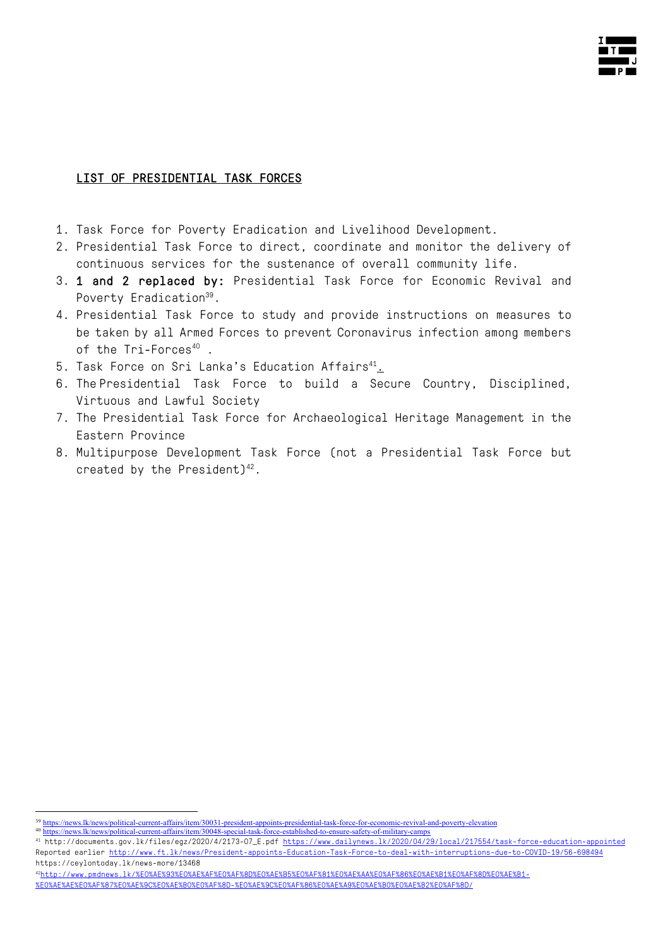

## LIST OF PRESIDENTIAL TASK FORCES

- 1. Task Force for Poverty Eradication and Livelihood Development.
- 2. Presidential Task Force to direct, coordinate and monitor the delivery of continuous services for the sustenance of overall community life.
- 3. 1 and 2 replaced by: Presidential Task Force for Economic Revival and Poverty Eradication<sup>39</sup>.
- 4. Presidential Task Force to study and provide instructions on measures to be taken by all Armed Forces to prevent Coronavirus infection among members of the Tri-Forces<sup>40</sup>.
- 5. Task Force on Sri Lanka's Education Affairs<sup>41</sup>.
- 6. The Presidential Task Force to build a Secure Country, Disciplined, Virtuous and Lawful Society
- 7. The Presidential Task Force for Archaeological Heritage Management in the Eastern Province
- 8. Multipurpose Development Task Force (not a Presidential Task Force but created by the President) $42$ .

<sup>&</sup>lt;sup>39</sup> https://news.lk/news/political-current-affairs/item/30031-president-appoints-presidential-task-force-for-economic-revival-and-poverty-elevation

<sup>40</sup> https://news.lk/news/political-current-affairs/item/30048-special-task-force-established-to-ensure-safety-of-military-camps

<sup>41</sup> http://documents.gov.lk/files/egz/2020/4/2173-07\_E.pdf https://www.dailynews.lk/2020/04/29/local/217554/task-force-education-appointed Reported earlier http://www.ft.lk/news/President-appoints-Education-Task-Force-to-deal-with-interruptions-due-to-COVID-19/56-698494 https://ceylontoday.lk/news-more/13468

<sup>42</sup>http://www.pmdnews.lk/%E0%AE%93%E0%AE%AF%E0%AF%8D%E0%AE%B5%E0%AF%81%E0%AE%AA%E0%AF%86%E0%AE%B1%E0%AF%8D%E0%AE%B1- %E0%AE%AE%E0%AF%87%E0%AE%9C%E0%AE%B0%E0%AF%8D-%E0%AE%9C%E0%AF%86%E0%AE%A9%E0%AE%B0%E0%AE%B2%E0%AF%8D/